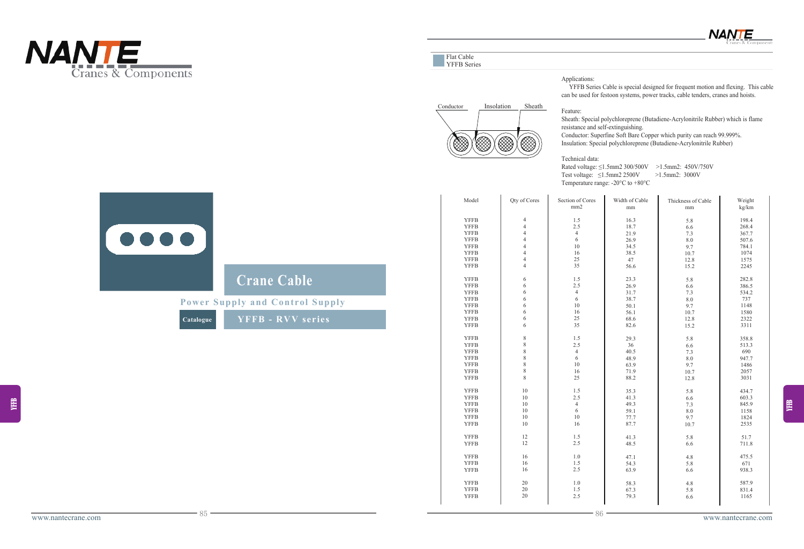YFFB Series Cable is special designed for frequent motion and flexing. This cable can be used for festoon systems, power tracks, cable tenders, cranes and hoists.

Sheath: Special polychloreprene (Butadiene-Acrylonitrile Rubber) which is flame resistance and self-extinguishing.

Rated voltage: ≤1.5mm2 300/500V >1.5mm2: 450V/750V<br>Test voltage: ≤1.5mm2 2500V >1.5mm2: 3000V Test voltage:  $\leq$ 1.5mm2 2500V Temperature range: -20°C to +80°C

Conductor: Superfine Soft Bare Copper which purity can reach 99.999%. Insulation: Special polychloreprene (Butadiene-Acrylonitrile Rubber)

1.5 2.5 1.0 1.5 2.5

1.0 1.5 2.5





YFFB YFFB YFFB YFFB YFFB

YFFB YFFB YFFB

20 20 20

| Width of Cable | Thickness of Cable | Weight        |
|----------------|--------------------|---------------|
| mm             | mm                 | kg/km         |
|                |                    |               |
| 16.3           | 5.8                | 198.4         |
| 18.7           | 6.6                | 268.4         |
| 21.9           | 7.3                | 367.7         |
| 26.9           | 8.0                | 507.6         |
| 34.5           | 9.7                | 784.1         |
| 38.5           | 10.7               | 1074          |
| 47             | 12.8               | 1575          |
| 56.6           | 15.2               | 2245          |
| 23.3           | 5.8                | 282.8         |
| 26.9           | 6.6                | 386.5         |
| 31.7           | 7.3                | 534.2         |
| 38.7           | 8.0                | 737           |
| 50.1           | 9.7                | 1148          |
| 56.1           | 10.7               | 1580          |
| 68.6           | 12.8               | 2322          |
| 82.6           | 15.2               | 3311          |
|                |                    |               |
| 29.3           | 5.8                | 358.8         |
| 36             | 6.6                | 513.3         |
| 40.5           | 7.3                | 690           |
| 48.9           | 8.0                | 947.7         |
| 63.9           | 9.7                | 1486          |
| 71.9           | 10.7               | 2057          |
| 88.2           | 12.8               | 3031          |
|                |                    |               |
| 35.3           | 5.8                | 434.7         |
| 41.3           | 6.6                | 603.3         |
| 49.3           | 7.3                | 845.9<br>1158 |
| 59.1<br>77.7   | 8.0                | 1824          |
| 87.7           | 9.7<br>10.7        | 2535          |
|                |                    |               |
| 41.3           | 5.8                | 51.7          |
| 48.5           | 6.6                | 711.8         |
|                |                    |               |
| 47.1           | 4.8                | 475.5         |
| 54.3           | 5.8                | 671           |
| 63.9           | 6.6                | 938.3         |
| 58.3           | 4.8                | 587.9         |
| 67.3           | 5.8                | 831.4         |
| 79.3           | 6.6                | 1165          |
|                |                    |               |

![](_page_0_Picture_5.jpeg)

YFFB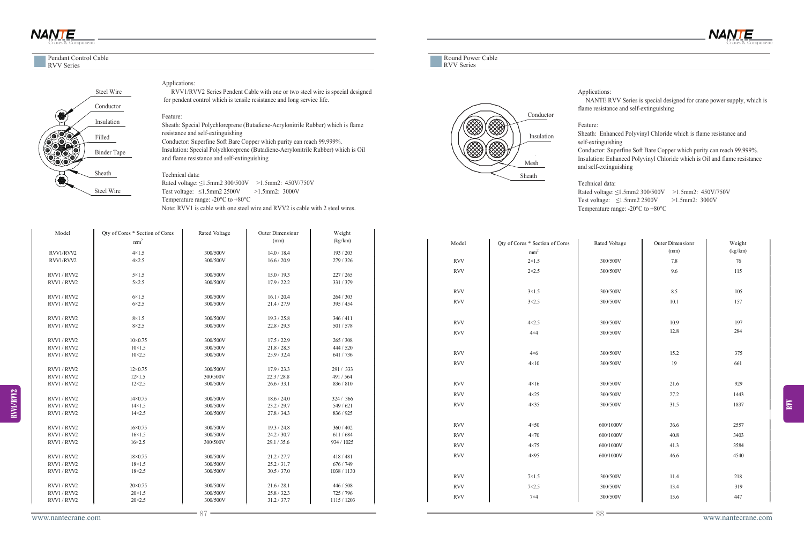### Applications:

 RVV1/RVV2 Series Pendent Cable with one or two steel wire is special designed for pendent control which is tensile resistance and long service life.

#### Feature:

Sheath: Special Polychloreprene (Butadiene-Acrylonitrile Rubber) which is flame resistance and self-extinguishing Filled Conductor: Superfine Soft Bare Copper which purity can reach 99.999%. Insulation: Special Polychloreprene (Butadiene-Acrylonitrile Rubber) which is Oil and flame resistance and self-extinguishing

#### Technical data:

# NANTE

#### **Pendant Control Cable** RVV Series

Rated voltage: ≤1.5mm2 300/500V >1.5mm2: 450V/750V Test voltage: ≤1.5mm2 2500V >1.5mm2: 3000V Temperature range: -20°C to +80°C Note: RVV1 is cable with one steel wire and RVV2 is cable with 2 steel wires. Applications:

 NANTE RVV Series is special designed for crane power supply, which is flame resistance and self-extinguishing

Feature:

Sheath: Enhanced Polyvinyl Chloride which is flame resistance and self-extinguishing

Conductor: Superfine Soft Bare Copper which purity can reach 99.999%. Insulation: Enhanced Polyvinyl Chloride which is Oil and flame resistance and self-extinguishing

T,  $\mathbb N$ 

Technical data: Rated voltage: ≤1.5mm2 300/500V >1.5mm2: 450V/750V Test voltage: ≤1.5mm2 2500V >1.5mm2: 3000V Temperature range: -20°C to +80°C

Round Power Cable RVV Series

| Model                             | Qty of Cores * Section of Cores    | Rated Voltage        | Outer Dimensionr           | Weight                 |                      |                                 |               |                  |         |
|-----------------------------------|------------------------------------|----------------------|----------------------------|------------------------|----------------------|---------------------------------|---------------|------------------|---------|
|                                   | mm <sup>2</sup>                    |                      | (mm)                       | (kg/km)                | Model                | Qty of Cores * Section of Cores | Rated Voltage | Outer Dimensionr | Weight  |
| RVV1/RVV2                         | $4\times1.5$                       | 300/500V             | 14.0 / 18.4                | 193 / 203              |                      | mm <sup>2</sup>                 |               | (mm)             | (kg/km) |
| RVV1/RVV2                         | $4 \times 2.5$                     | 300/500V             | 16.6 / 20.9                | 279 / 326              | <b>RVV</b>           | $2\times1.5$                    | 300/500V      | 7.8              | 76      |
|                                   |                                    |                      |                            |                        | <b>RVV</b>           |                                 | 300/500V      |                  | 115     |
| RVV1 / RVV2                       | $5\times1.5$                       | 300/500V             | 15.0 / 19.3                | 227/265                |                      | $2\times2.5$                    |               | 9.6              |         |
| RVV1 / RVV2                       | $5\times2.5$                       | 300/500V             | 17.9 / 22.2                | 331/379                |                      |                                 |               |                  |         |
|                                   |                                    |                      |                            |                        | <b>RVV</b>           | $3\times1.5$                    | 300/500V      | 8.5              | 105     |
| RVV1 / RVV2                       | $6\times1.5$                       | 300/500V             | 16.1 / 20.4                | 264 / 303              | <b>RVV</b>           | $3\times2.5$                    | 300/500V      | 10.1             | 157     |
| RVV1 / RVV2                       | $6\times2.5$                       | 300/500V             | 21.4 / 27.9                | 395 / 454              |                      |                                 |               |                  |         |
| RVV1 / RVV2                       | $8\times1.5$                       | 300/500V             | 19.3 / 25.8                | 346/411                | <b>RVV</b>           | $4\times2.5$                    | 300/500V      | 10.9             | 197     |
| RVV1 / RVV2                       | $8\times2.5$                       | 300/500V             | 22.8 / 29.3                | 501 / 578              |                      |                                 |               |                  |         |
|                                   |                                    |                      |                            |                        | $\operatorname{RVV}$ | $4\times4$                      | 300/500V      | 12.8             | 284     |
| RVV1 / RVV2                       | $10\times 0.75$                    | 300/500V             | 17.5 / 22.9                | 265 / 308              |                      |                                 |               |                  |         |
| RVV1 / RVV2                       | $10\times1.5$                      | 300/500V             | 21.8 / 28.3                | 444 / 520              | <b>RVV</b>           | $4\times6$                      | 300/500V      | 15.2             | 375     |
| RVV1 / RVV2                       | $10\times2.5$                      | 300/500V             | 25.9 / 32.4                | 641 / 736              |                      |                                 |               |                  |         |
|                                   |                                    |                      |                            |                        | <b>RVV</b>           | $4 \times 10$                   | 300/500V      | 19               | 661     |
| RVV1 / RVV2                       | $12\times0.75$                     | 300/500V             | 17.9 / 23.3<br>22.3 / 28.8 | 291 / 333<br>491 / 564 |                      |                                 |               |                  |         |
| RVV1 / RVV2<br>RVV1 / RVV2        | $12 \times 1.5$<br>$12 \times 2.5$ | 300/500V<br>300/500V | 26.6 / 33.1                | 836 / 810              | <b>RVV</b>           | $4\times16$                     | 300/500V      | 21.6             | 929     |
|                                   |                                    |                      |                            |                        |                      |                                 |               |                  |         |
| RVV1 / RVV2                       | $14 \times 0.75$                   | 300/500V             | 18.6 / 24.0                | 324 / 366              | <b>RVV</b>           | $4 \times 25$                   | 300/500V      | 27.2             | 1443    |
| RVV1 / RVV2                       | $14\times1.5$                      | 300/500V             | 23.2 / 29.7                | 549 / 621              | <b>RVV</b>           | $4\times35$                     | 300/500V      | 31.5             | 1837    |
| RVV1 / RVV2                       | $14\times2.5$                      | 300/500V             | 27.8 / 34.3                | 836 / 925              |                      |                                 |               |                  |         |
| RVV1 / RVV2                       | $16 \times 0.75$                   | 300/500V             | 19.3 / 24.8                | 360 / 402              | <b>RVV</b>           | $4 \times 50$                   | 600/1000V     | 36.6             | 2557    |
| RVV1 / RVV2                       | $16 \times 1.5$                    | 300/500V             | 24.2 / 30.7                | 611/684                | <b>RVV</b>           | $4\times 70$                    | 600/1000V     | 40.8             | 3403    |
| RVV1 / RVV2                       | $16 \times 2.5$                    | 300/500V             | 29.1 / 35.6                | 934 / 1025             |                      |                                 |               |                  |         |
|                                   |                                    |                      |                            |                        | <b>RVV</b>           | $4\times 75$                    | 600/1000V     | 41.3             | 3584    |
| RVV1 / RVV2                       | $18 \times 0.75$                   | 300/500V             | 21.2 / 27.7                | 418 / 481              | <b>RVV</b>           | $4\times 95$                    | 600/1000V     | 46.6             | 4540    |
| RVV1 / RVV2                       | $18\times1.5$                      | 300/500V             | 25.2 / 31.7                | 676 / 749              |                      |                                 |               |                  |         |
| RVV1 / RVV2                       | $18\times2.5$                      | 300/500V             | 30.5 / 37.0                | 1038 / 1130            |                      |                                 |               |                  |         |
|                                   |                                    |                      |                            |                        | <b>RVV</b>           | $7\times1.5$                    | 300/500V      | 11.4             | 218     |
| RVV1 / RVV2                       | $20 \times 0.75$                   | 300/500V             | 21.6 / 28.1                | 446 / 508              | <b>RVV</b>           | $7\times2.5$                    | 300/500V      | 13.4             | 319     |
| RVV1 / RVV2                       | $20\times1.5$                      | 300/500V             | 25.8 / 32.3                | 725 / 796              | $\operatorname{RVV}$ | $7\times4$                      | 300/500V      | 15.6             | 447     |
| $\mathrm{RVV}1$ / $\mathrm{RVV}2$ | $20 \times 2.5$                    | 300/500V             | 31.2 / 37.7                | 1115 / 1203            |                      |                                 |               |                  |         |
|                                   |                                    | O7                   |                            |                        |                      |                                 | $00 -$        |                  |         |

RVV1/RVV2

![](_page_1_Picture_16.jpeg)

![](_page_1_Figure_2.jpeg)

# Conductor Mesh Sheath